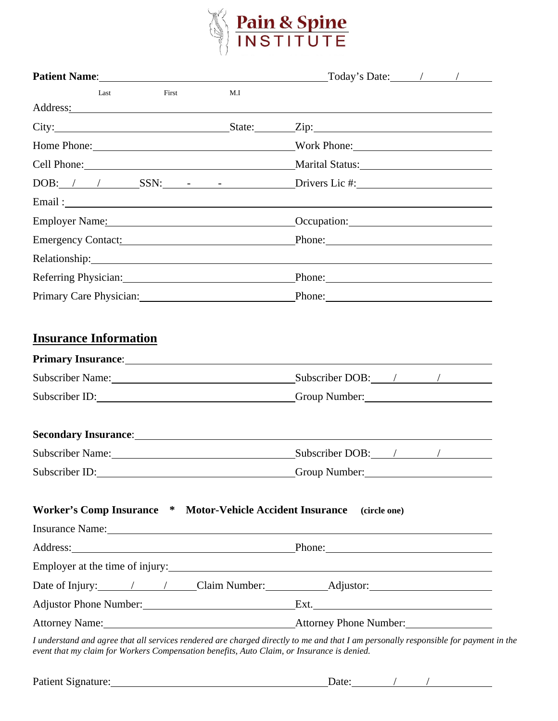

|                                                                                                                                                                                                                                                               | Today's Date: / /                                                                                                                                                                                                              |
|---------------------------------------------------------------------------------------------------------------------------------------------------------------------------------------------------------------------------------------------------------------|--------------------------------------------------------------------------------------------------------------------------------------------------------------------------------------------------------------------------------|
| Last<br>First<br>M.I                                                                                                                                                                                                                                          |                                                                                                                                                                                                                                |
| Address:                                                                                                                                                                                                                                                      |                                                                                                                                                                                                                                |
| City: City: City: City: City: City: City: City: City: City: City: City: City: City: City: City: City: City: City: City: City: City: City: City: City: City: City: City: City: City: City: City: City: City: City: City: City:                                 |                                                                                                                                                                                                                                |
| Home Phone: Work Phone:                                                                                                                                                                                                                                       |                                                                                                                                                                                                                                |
| Cell Phone: Marital Status: Marital Status:                                                                                                                                                                                                                   |                                                                                                                                                                                                                                |
| $DOB:$ / / SSN: $-SIN:$ Drivers Lic #:                                                                                                                                                                                                                        |                                                                                                                                                                                                                                |
| Email: The Commission of the Commission of the Commission of the Commission of the Commission of the Commission                                                                                                                                               |                                                                                                                                                                                                                                |
|                                                                                                                                                                                                                                                               | Occupation: Decree Contract Contract Contract Contract Contract Contract Contract Contract Contract Contract Contract Contract Contract Contract Contract Contract Contract Contract Contract Contract Contract Contract Contr |
| Emergency Contact:                                                                                                                                                                                                                                            | Phone:                                                                                                                                                                                                                         |
| Relationship: Network of the Contract of the Contract of the Contract of the Contract of the Contract of the Contract of the Contract of the Contract of the Contract of the Contract of the Contract of the Contract of the C                                |                                                                                                                                                                                                                                |
| Referring Physician: Manual Manual Manual Manual Manual Manual Manual Manual Manual Manual Manual Manual Manua                                                                                                                                                | Phone:                                                                                                                                                                                                                         |
| Primary Care Physician: 2008 2014                                                                                                                                                                                                                             | Phone: Note and the set of the set of the set of the set of the set of the set of the set of the set of the set of the set of the set of the set of the set of the set of the set of the set of the set of the set of the set  |
| Primary Insurance: 1988 and 1989 and 1989 and 1989 and 1989 and 1989 and 1989 and 1989 and 1989 and 1989 and 1989 and 1989 and 1989 and 1989 and 1989 and 1989 and 1989 and 1989 and 1989 and 1989 and 1989 and 1989 and 1989<br>Subscriber ID: Group Number: |                                                                                                                                                                                                                                |
| Secondary Insurance: 1988 and 2008 and 2008 and 2008 and 2008 and 2008 and 2008 and 2008 and 2008 and 2008 and 2008 and 2008 and 2008 and 2008 and 2008 and 2008 and 2008 and 2008 and 2008 and 2008 and 2008 and 2008 and 200                                |                                                                                                                                                                                                                                |
| Subscriber Name: Mannel Mannel Mannel Mannel Mannel Mannel Mannel Mannel Mannel Mannel Mannel Mannel Mannel Ma                                                                                                                                                | Subscriber DOB: / / /                                                                                                                                                                                                          |
| Subscriber ID:                                                                                                                                                                                                                                                | Group Number:                                                                                                                                                                                                                  |
| Worker's Comp Insurance * Motor-Vehicle Accident Insurance                                                                                                                                                                                                    | (circle one)                                                                                                                                                                                                                   |
| Insurance Name: Name:                                                                                                                                                                                                                                         |                                                                                                                                                                                                                                |
| Address: Phone: Phone: Phone:                                                                                                                                                                                                                                 |                                                                                                                                                                                                                                |
| Employer at the time of injury: 1000 minutes and the time of injury:                                                                                                                                                                                          |                                                                                                                                                                                                                                |
| Date of Injury: 1 1 Claim Number: Adjustor: Adjustor:                                                                                                                                                                                                         |                                                                                                                                                                                                                                |
| Adjustor Phone Number: Ext.                                                                                                                                                                                                                                   |                                                                                                                                                                                                                                |
| Attorney Name: <u>Attorney Phone Number:</u><br>I understand and agree that all services rendered are charged directly to me and that I am personally responsible for payment                                                                                 |                                                                                                                                                                                                                                |

*I understand and agree that all services rendered are charged directly to me and that I am personally responsible for payment in the event that my claim for Workers Compensation benefits, Auto Claim, or Insurance is denied.*

| Patient Signature: | Jate |  |  |
|--------------------|------|--|--|
|                    |      |  |  |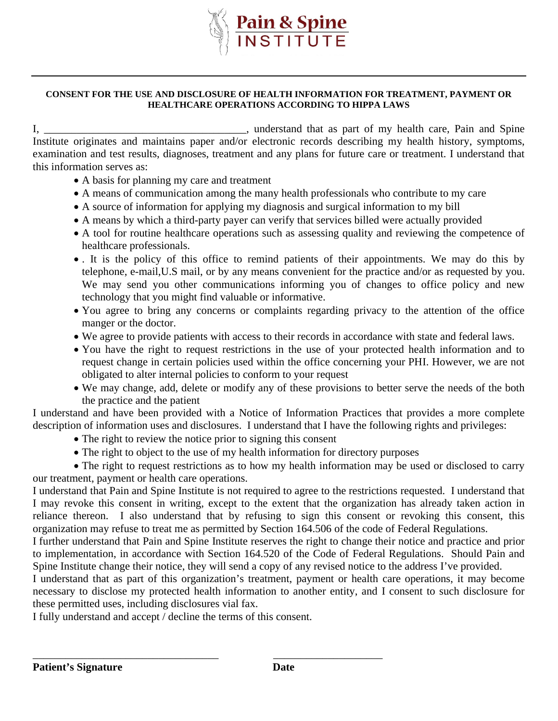

#### **CONSENT FOR THE USE AND DISCLOSURE OF HEALTH INFORMATION FOR TREATMENT, PAYMENT OR HEALTHCARE OPERATIONS ACCORDING TO HIPPA LAWS**

I, \_\_\_\_\_\_\_\_\_\_\_\_\_\_\_\_\_\_\_\_\_\_\_\_\_\_\_\_\_\_\_\_\_\_, understand that as part of my health care, Pain and Spine Institute originates and maintains paper and/or electronic records describing my health history, symptoms, examination and test results, diagnoses, treatment and any plans for future care or treatment. I understand that this information serves as:

- A basis for planning my care and treatment
- A means of communication among the many health professionals who contribute to my care
- A source of information for applying my diagnosis and surgical information to my bill
- A means by which a third-party payer can verify that services billed were actually provided
- A tool for routine healthcare operations such as assessing quality and reviewing the competence of healthcare professionals.
- . It is the policy of this office to remind patients of their appointments. We may do this by telephone, e-mail,U.S mail, or by any means convenient for the practice and/or as requested by you. We may send you other communications informing you of changes to office policy and new technology that you might find valuable or informative.
- You agree to bring any concerns or complaints regarding privacy to the attention of the office manger or the doctor.
- We agree to provide patients with access to their records in accordance with state and federal laws.
- You have the right to request restrictions in the use of your protected health information and to request change in certain policies used within the office concerning your PHI. However, we are not obligated to alter internal policies to conform to your request
- We may change, add, delete or modify any of these provisions to better serve the needs of the both the practice and the patient

I understand and have been provided with a Notice of Information Practices that provides a more complete description of information uses and disclosures. I understand that I have the following rights and privileges:

- The right to review the notice prior to signing this consent
- The right to object to the use of my health information for directory purposes

 The right to request restrictions as to how my health information may be used or disclosed to carry our treatment, payment or health care operations.

I understand that Pain and Spine Institute is not required to agree to the restrictions requested. I understand that I may revoke this consent in writing, except to the extent that the organization has already taken action in reliance thereon. I also understand that by refusing to sign this consent or revoking this consent, this organization may refuse to treat me as permitted by Section 164.506 of the code of Federal Regulations.

I further understand that Pain and Spine Institute reserves the right to change their notice and practice and prior to implementation, in accordance with Section 164.520 of the Code of Federal Regulations. Should Pain and Spine Institute change their notice, they will send a copy of any revised notice to the address I've provided.

I understand that as part of this organization's treatment, payment or health care operations, it may become necessary to disclose my protected health information to another entity, and I consent to such disclosure for these permitted uses, including disclosures vial fax.

I fully understand and accept / decline the terms of this consent.

\_\_\_\_\_\_\_\_\_\_\_\_\_\_\_\_\_\_\_\_\_\_\_\_\_\_\_\_\_\_\_\_\_\_ \_\_\_\_\_\_\_\_\_\_\_\_\_\_\_\_\_\_\_\_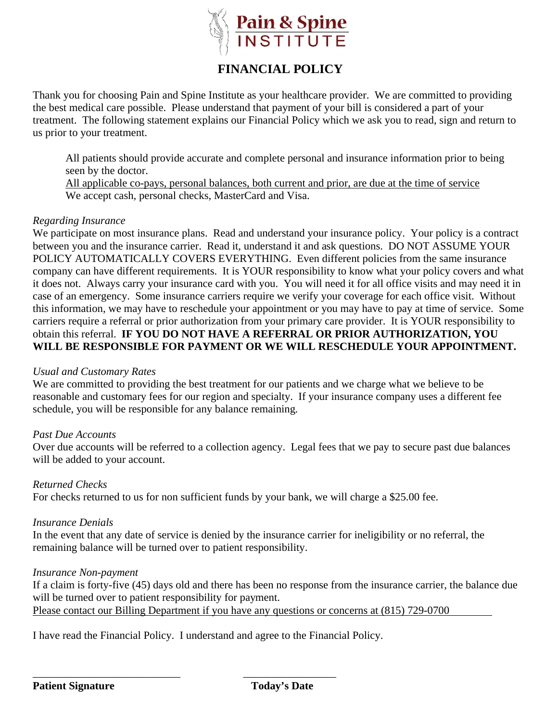

# **FINANCIAL POLICY**

Thank you for choosing Pain and Spine Institute as your healthcare provider. We are committed to providing the best medical care possible. Please understand that payment of your bill is considered a part of your treatment. The following statement explains our Financial Policy which we ask you to read, sign and return to us prior to your treatment.

All patients should provide accurate and complete personal and insurance information prior to being seen by the doctor.

All applicable co-pays, personal balances, both current and prior, are due at the time of service We accept cash, personal checks, MasterCard and Visa.

#### *Regarding Insurance*

We participate on most insurance plans. Read and understand your insurance policy. Your policy is a contract between you and the insurance carrier. Read it, understand it and ask questions. DO NOT ASSUME YOUR POLICY AUTOMATICALLY COVERS EVERYTHING. Even different policies from the same insurance company can have different requirements. It is YOUR responsibility to know what your policy covers and what it does not. Always carry your insurance card with you. You will need it for all office visits and may need it in case of an emergency. Some insurance carriers require we verify your coverage for each office visit. Without this information, we may have to reschedule your appointment or you may have to pay at time of service. Some carriers require a referral or prior authorization from your primary care provider. It is YOUR responsibility to obtain this referral. **IF YOU DO NOT HAVE A REFERRAL OR PRIOR AUTHORIZATION, YOU WILL BE RESPONSIBLE FOR PAYMENT OR WE WILL RESCHEDULE YOUR APPOINTMENT.**

#### *Usual and Customary Rates*

We are committed to providing the best treatment for our patients and we charge what we believe to be reasonable and customary fees for our region and specialty. If your insurance company uses a different fee schedule, you will be responsible for any balance remaining.

#### *Past Due Accounts*

Over due accounts will be referred to a collection agency. Legal fees that we pay to secure past due balances will be added to your account.

#### *Returned Checks*

For checks returned to us for non sufficient funds by your bank, we will charge a \$25.00 fee.

#### *Insurance Denials*

In the event that any date of service is denied by the insurance carrier for ineligibility or no referral, the remaining balance will be turned over to patient responsibility.

#### *Insurance Non-payment*

If a claim is forty-five (45) days old and there has been no response from the insurance carrier, the balance due will be turned over to patient responsibility for payment. Please contact our Billing Department if you have any questions or concerns at (815) 729-0700

I have read the Financial Policy. I understand and agree to the Financial Policy.

\_\_\_\_\_\_\_\_\_\_\_\_\_\_\_\_\_\_\_\_\_\_\_\_\_\_\_ \_\_\_\_\_\_\_\_\_\_\_\_\_\_\_\_\_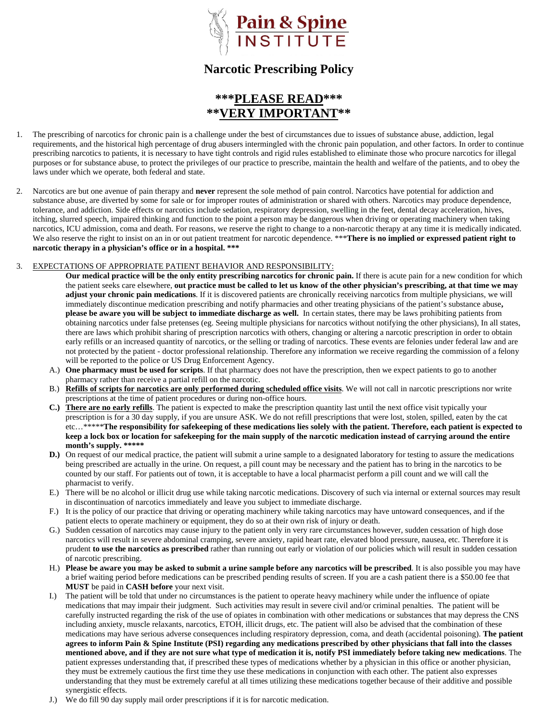

# **Narcotic Prescribing Policy**

# **\*\*\*PLEASE READ\*\*\* \*\*VERY IMPORTAN**

- 1. The prescribing of narcotics for chronic pain is a challenge under the best of circumstances due to issues of substance abuse, addiction, legal requirements, and the historical high percentage of drug abusers intermingled with the chronic pain population, and other factors. In order to continue prescribing narcotics to patients, it is necessary to have tight controls and rigid rules established to eliminate those who procure narcotics for illegal purposes or for substance abuse, to protect the privileges of our practice to prescribe, maintain the health and welfare of the patients, and to obey the laws under which we operate, both federal and state.
- 2. Narcotics are but one avenue of pain therapy and **never** represent the sole method of pain control. Narcotics have potential for addiction and substance abuse, are diverted by some for sale or for improper routes of administration or shared with others. Narcotics may produce dependence, tolerance, and addiction. Side effects or narcotics include sedation, respiratory depression, swelling in the feet, dental decay acceleration, hives, itching, slurred speech, impaired thinking and function to the point a person may be dangerous when driving or operating machinery when taking narcotics, ICU admission, coma and death. For reasons, we reserve the right to change to a non-narcotic therapy at any time it is medically indicated. We also reserve the right to insist on an in or out patient treatment for narcotic dependence. \*\*\***There is no implied or expressed patient right to narcotic therapy in a physician's office or in a hospital. \*\*\***

#### 3. EXPECTATIONS OF APPROPRIATE PATIENT BEHAVIOR AND RESPONSIBILITY:

**Our medical practice will be the only entity prescribing narcotics for chronic pain.** If there is acute pain for a new condition for which the patient seeks care elsewhere, **out practice must be called to let us know of the other physician's prescribing, at that time we may adjust your chronic pain medications**. If it is discovered patients are chronically receiving narcotics from multiple physicians, we will immediately discontinue medication prescribing and notify pharmacies and other treating physicians of the patient's substance abuse**, please be aware you will be subject to immediate discharge as well.** In certain states, there may be laws prohibiting patients from obtaining narcotics under false pretenses (eg. Seeing multiple physicians for narcotics without notifying the other physicians), In all states, there are laws which prohibit sharing of prescription narcotics with others, changing or altering a narcotic prescription in order to obtain early refills or an increased quantity of narcotics, or the selling or trading of narcotics. These events are felonies under federal law and are not protected by the patient - doctor professional relationship. Therefore any information we receive regarding the commission of a felony will be reported to the police or US Drug Enforcement Agency.

- A.) **One pharmacy must be used for scripts**. If that pharmacy does not have the prescription, then we expect patients to go to another pharmacy rather than receive a partial refill on the narcotic.
- B.) **Refills of scripts for narcotics are only performed during scheduled office visits**. We will not call in narcotic prescriptions nor write prescriptions at the time of patient procedures or during non-office hours.
- **C.) There are no early refills**. The patient is expected to make the prescription quantity last until the next office visit typically your prescription is for a 30 day supply, if you are unsure ASK. We do not refill prescriptions that were lost, stolen, spilled, eaten by the cat etc…\*\*\*\*\***The responsibility for safekeeping of these medications lies solely with the patient. Therefore, each patient is expected to keep a lock box or location for safekeeping for the main supply of the narcotic medication instead of carrying around the entire month's supply. \*\*\*\*\***
- **D.**) On request of our medical practice, the patient will submit a urine sample to a designated laboratory for testing to assure the medications being prescribed are actually in the urine. On request, a pill count may be necessary and the patient has to bring in the narcotics to be counted by our staff. For patients out of town, it is acceptable to have a local pharmacist perform a pill count and we will call the pharmacist to verify.
- E.) There will be no alcohol or illicit drug use while taking narcotic medications. Discovery of such via internal or external sources may result in discontinuation of narcotics immediately and leave you subject to immediate discharge.
- F.) It is the policy of our practice that driving or operating machinery while taking narcotics may have untoward consequences, and if the patient elects to operate machinery or equipment, they do so at their own risk of injury or death.
- G.) Sudden cessation of narcotics may cause injury to the patient only in very rare circumstances however, sudden cessation of high dose narcotics will result in severe abdominal cramping, severe anxiety, rapid heart rate, elevated blood pressure, nausea, etc. Therefore it is prudent **to use the narcotics as prescribed** rather than running out early or violation of our policies which will result in sudden cessation of narcotic prescribing.
- H.) **Please be aware you may be asked to submit a urine sample before any narcotics will be prescribed**. It is also possible you may have a brief waiting period before medications can be prescribed pending results of screen. If you are a cash patient there is a \$50.00 fee that **MUST** be paid in **CASH before** your next visit.
- I.) The patient will be told that under no circumstances is the patient to operate heavy machinery while under the influence of opiate medications that may impair their judgment. Such activities may result in severe civil and/or criminal penalties. The patient will be carefully instructed regarding the risk of the use of opiates in combination with other medications or substances that may depress the CNS including anxiety, muscle relaxants, narcotics, ETOH, illicit drugs, etc. The patient will also be advised that the combination of these medications may have serious adverse consequences including respiratory depression, coma, and death (accidental poisoning). **The patient agrees to inform Pain & Spine Institute (PSI) regarding any medications prescribed by other physicians that fall into the classes mentioned above, and if they are not sure what type of medication it is, notify PSI immediately before taking new medications**. The patient expresses understanding that, if prescribed these types of medications whether by a physician in this office or another physician, they must be extremely cautious the first time they use these medications in conjunction with each other. The patient also expresses understanding that they must be extremely careful at all times utilizing these medications together because of their additive and possible synergistic effects.
- J.) We do fill 90 day supply mail order prescriptions if it is for narcotic medication.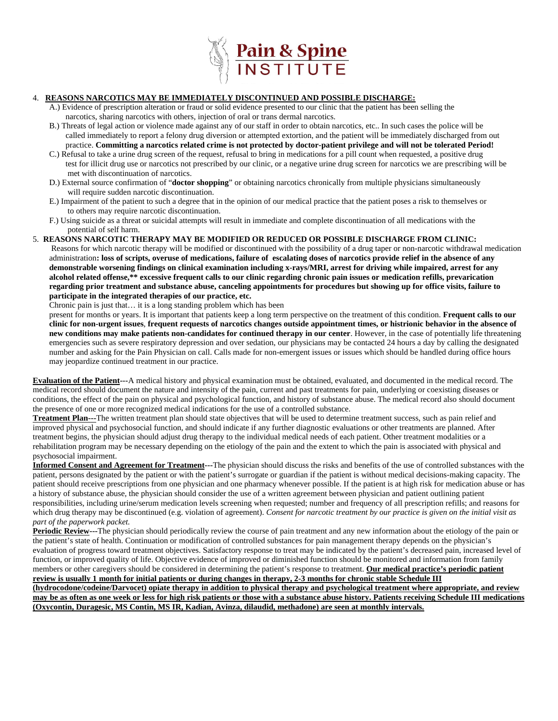

#### 4. **REASONS NARCOTICS MAY BE IMMEDIATELY DISCONTINUED AND POSSIBLE DISCHARGE:**

- A.) Evidence of prescription alteration or fraud or solid evidence presented to our clinic that the patient has been selling the narcotics, sharing narcotics with others, injection of oral or trans dermal narcotics.
- B.) Threats of legal action or violence made against any of our staff in order to obtain narcotics, etc.. In such cases the police will be called immediately to report a felony drug diversion or attempted extortion, and the patient will be immediately discharged from out practice. **Committing a narcotics related crime is not protected by doctor-patient privilege and will not be tolerated Period!**
- C.) Refusal to take a urine drug screen of the request, refusal to bring in medications for a pill count when requested, a positive drug test for illicit drug use or narcotics not prescribed by our clinic, or a negative urine drug screen for narcotics we are prescribing will be met with discontinuation of narcotics.
- D.) External source confirmation of "**doctor shopping**" or obtaining narcotics chronically from multiple physicians simultaneously will require sudden narcotic discontinuation.
- E.) Impairment of the patient to such a degree that in the opinion of our medical practice that the patient poses a risk to themselves or to others may require narcotic discontinuation.
- F.) Using suicide as a threat or suicidal attempts will result in immediate and complete discontinuation of all medications with the potential of self harm.
- 5. **REASONS NARCOTIC THERAPY MAY BE MODIFIED OR REDUCED OR POSSIBLE DISCHARGE FROM CLINIC:**  Reasons for which narcotic therapy will be modified or discontinued with the possibility of a drug taper or non-narcotic withdrawal medication administration**: loss of scripts, overuse of medications, failure of escalating doses of narcotics provide relief in the absence of any demonstrable worsening findings on clinical examination including x-rays/MRI, arrest for driving while impaired, arrest for any alcohol related offense,\*\* excessive frequent calls to our clinic regarding chronic pain issues or medication refills, prevarication regarding prior treatment and substance abuse, canceling appointments for procedures but showing up for office visits, failure to participate in the integrated therapies of our practice, etc.**

Chronic pain is just that… it is a long standing problem which has been

present for months or years. It is important that patients keep a long term perspective on the treatment of this condition. **Frequent calls to our clinic for non-urgent issues**, **frequent requests of narcotics changes outside appointment times, or histrionic behavior in the absence of new conditions may make patients non-candidates for continued therapy in our center**. However, in the case of potentially life threatening emergencies such as severe respiratory depression and over sedation, our physicians may be contacted 24 hours a day by calling the designated number and asking for the Pain Physician on call. Calls made for non-emergent issues or issues which should be handled during office hours may jeopardize continued treatment in our practice.

**Evaluation of the Patient---**A medical history and physical examination must be obtained, evaluated, and documented in the medical record. The medical record should document the nature and intensity of the pain, current and past treatments for pain, underlying or coexisting diseases or conditions, the effect of the pain on physical and psychological function, and history of substance abuse. The medical record also should document the presence of one or more recognized medical indications for the use of a controlled substance.

**Treatment Plan---**The written treatment plan should state objectives that will be used to determine treatment success, such as pain relief and improved physical and psychosocial function, and should indicate if any further diagnostic evaluations or other treatments are planned. After treatment begins, the physician should adjust drug therapy to the individual medical needs of each patient. Other treatment modalities or a rehabilitation program may be necessary depending on the etiology of the pain and the extent to which the pain is associated with physical and psychosocial impairment.

**Informed Consent and Agreement for Treatment---**The physician should discuss the risks and benefits of the use of controlled substances with the patient, persons designated by the patient or with the patient's surrogate or guardian if the patient is without medical decisions-making capacity. The patient should receive prescriptions from one physician and one pharmacy whenever possible. If the patient is at high risk for medication abuse or has a history of substance abuse, the physician should consider the use of a written agreement between physician and patient outlining patient responsibilities, including urine/serum medication levels screening when requested; number and frequency of all prescription refills; and reasons for which drug therapy may be discontinued (e.g. violation of agreement). *Consent for narcotic treatment by our practice is given on the initial visit as part of the paperwork packet.*

**Periodic Review---**The physician should periodically review the course of pain treatment and any new information about the etiology of the pain or the patient's state of health. Continuation or modification of controlled substances for pain management therapy depends on the physician's evaluation of progress toward treatment objectives. Satisfactory response to treat may be indicated by the patient's decreased pain, increased level of function, or improved quality of life. Objective evidence of improved or diminished function should be monitored and information from family members or other caregivers should be considered in determining the patient's response to treatment. **Our medical practice's periodic patient review is usually 1 month for initial patients or during changes in therapy, 2-3 months for chronic stable Schedule III** 

**(hydrocodone/codeine/Darvocet) opiate therapy in addition to physical therapy and psychological treatment where appropriate, and review may be as often as one week or less for high risk patients or those with a substance abuse history. Patients receiving Schedule III medications (Oxycontin, Duragesic, MS Contin, MS IR, Kadian, Avinza, dilaudid, methadone) are seen at monthly intervals.**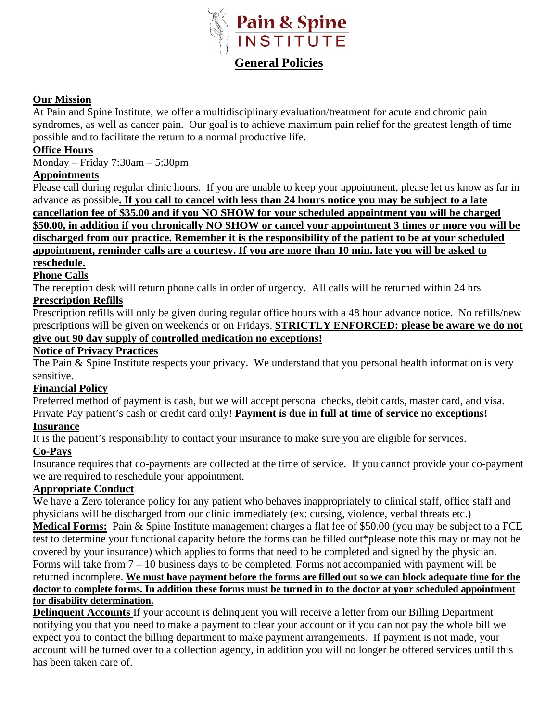

### **Our Mission**

At Pain and Spine Institute, we offer a multidisciplinary evaluation/treatment for acute and chronic pain syndromes, as well as cancer pain. Our goal is to achieve maximum pain relief for the greatest length of time possible and to facilitate the return to a normal productive life.

### **Office Hours**

Monday – Friday 7:30am – 5:30pm

### **Appointments**

Please call during regular clinic hours. If you are unable to keep your appointment, please let us know as far in advance as possible**. If you call to cancel with less than 24 hours notice you may be subject to a late cancellation fee of \$35.00 and if you NO SHOW for your scheduled appointment you will be charged \$50.00, in addition if you chronically NO SHOW or cancel your appointment 3 times or more you will be discharged from our practice. Remember it is the responsibility of the patient to be at your scheduled appointment, reminder calls are a courtesy. If you are more than 10 min. late you will be asked to reschedule.**

### **Phone Calls**

The reception desk will return phone calls in order of urgency. All calls will be returned within 24 hrs

# **Prescription Refills**

Prescription refills will only be given during regular office hours with a 48 hour advance notice. No refills/new prescriptions will be given on weekends or on Fridays. **STRICTLY ENFORCED: please be aware we do not give out 90 day supply of controlled medication no exceptions!**

#### **Notice of Privacy Practices**

The Pain & Spine Institute respects your privacy. We understand that you personal health information is very sensitive.

#### **Financial Policy**

Preferred method of payment is cash, but we will accept personal checks, debit cards, master card, and visa. Private Pay patient's cash or credit card only! **Payment is due in full at time of service no exceptions!**

### **Insurance**

It is the patient's responsibility to contact your insurance to make sure you are eligible for services.

#### **Co-Pays**

Insurance requires that co-payments are collected at the time of service. If you cannot provide your co-payment we are required to reschedule your appointment.

#### **Appropriate Conduct**

We have a Zero tolerance policy for any patient who behaves inappropriately to clinical staff, office staff and physicians will be discharged from our clinic immediately (ex: cursing, violence, verbal threats etc.) **Medical Forms:** Pain & Spine Institute management charges a flat fee of \$50.00 (you may be subject to a FCE test to determine your functional capacity before the forms can be filled out\*please note this may or may not be covered by your insurance) which applies to forms that need to be completed and signed by the physician. Forms will take from 7 – 10 business days to be completed. Forms not accompanied with payment will be returned incomplete. **We must have payment before the forms are filled out so we can block adequate time for the doctor to complete forms. In addition these forms must be turned in to the doctor at your scheduled appointment for disability determination.**

**Delinquent Accounts** If your account is delinquent you will receive a letter from our Billing Department notifying you that you need to make a payment to clear your account or if you can not pay the whole bill we expect you to contact the billing department to make payment arrangements. If payment is not made, your account will be turned over to a collection agency, in addition you will no longer be offered services until this has been taken care of.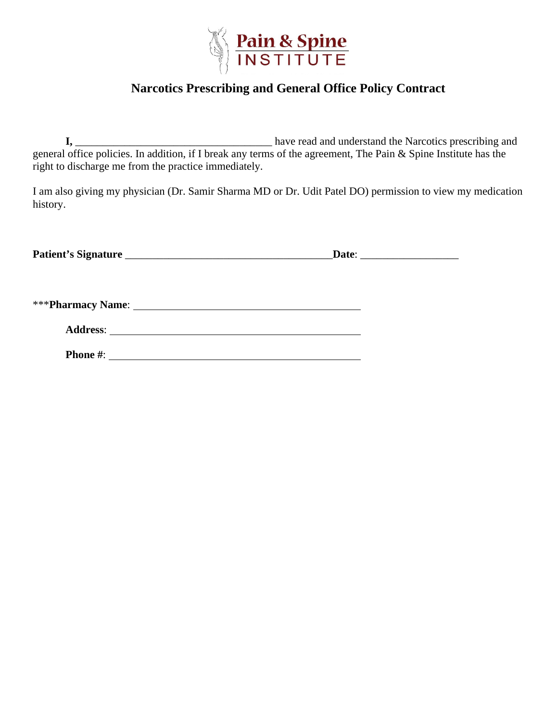

# **Narcotics Prescribing and General Office Policy Contract**

**I,** \_\_\_\_\_\_\_\_\_\_\_\_\_\_\_\_\_\_\_\_\_\_\_\_\_\_\_\_\_\_\_\_\_\_\_\_ have read and understand the Narcotics prescribing and general office policies. In addition, if I break any terms of the agreement, The Pain & Spine Institute has the right to discharge me from the practice immediately.

I am also giving my physician (Dr. Samir Sharma MD or Dr. Udit Patel DO) permission to view my medication history.

| <b>Patient's Signature</b><br>Date <sup>.</sup> |
|-------------------------------------------------|
|-------------------------------------------------|

\*\*\***Pharmacy Name**:

| <b>Address:</b> |  |
|-----------------|--|
|                 |  |

**Phone #**: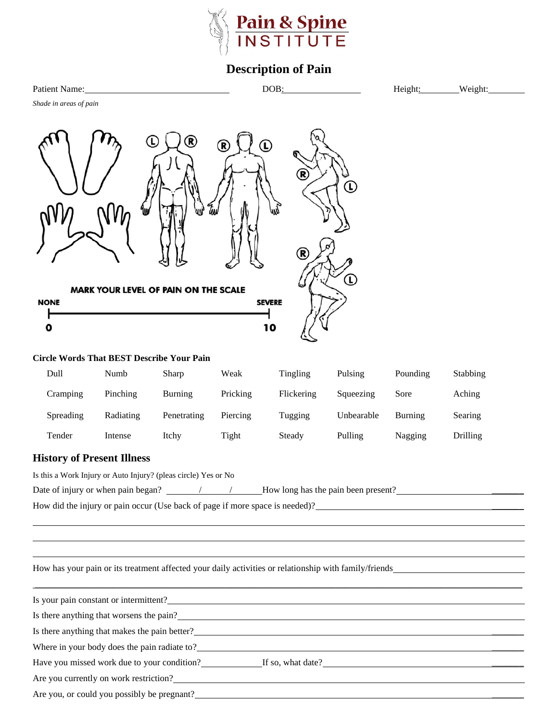

# **Description of Pain**

| Patie<br>ame<br>'Nʻd.<br>20 L | <b>DOB</b> | -нет<br> | Weight<br>™YIIt. |
|-------------------------------|------------|----------|------------------|
|                               |            |          |                  |

*Shade in areas of pain*



#### **Circle Words That BEST Describe Your Pain**

| Dull      | Numb      | Sharp          | Weak     | Tingling   | Pulsing    | Pounding | Stabbing |
|-----------|-----------|----------------|----------|------------|------------|----------|----------|
| Cramping  | Pinching  | <b>Burning</b> | Pricking | Flickering | Squeezing  | Sore     | Aching   |
| Spreading | Radiating | Penetrating    | Piercing | Tugging    | Unbearable | Burning  | Searing  |
| Tender    | Intense   | Itchy          | Tight    | Steady     | Pulling    | Nagging  | Drilling |

#### **History of Present Illness**

Is this a Work Injury or Auto Injury? (pleas circle) Yes or No

Date of injury or when pain began? / / How long has the pain been present? \_\_\_\_\_\_\_

How did the injury or pain occur (Use back of page if more space is needed)?<br><u>\_\_\_\_\_\_\_\_\_\_\_\_\_\_\_\_\_\_\_\_\_\_\_\_\_\_\_\_\_\_\_\_\_\_</u>

How has your pain or its treatment affected your daily activities or relationship with family/friends

| Is your pain constant or intermittent?                         |  |
|----------------------------------------------------------------|--|
| Is there anything that worsens the pain?<br><u>Example 2.1</u> |  |
| Is there anything that makes the pain better?                  |  |
| Where in your body does the pain radiate to?                   |  |
| Have you missed work due to your condition? If so, what date?  |  |
| Are you currently on work restriction?                         |  |
| Are you, or could you possibly be pregnant?                    |  |

\_\_\_\_\_\_\_\_\_\_\_\_\_\_\_\_\_\_\_\_\_\_\_\_\_\_\_\_\_\_\_\_\_\_\_\_\_\_\_\_\_\_\_\_\_\_\_\_\_\_\_\_\_\_\_\_\_\_\_\_\_\_\_\_\_\_\_\_\_\_\_\_\_\_\_\_\_\_\_\_\_\_\_\_\_\_\_\_\_\_\_\_\_\_\_\_\_\_\_\_\_\_\_\_\_\_\_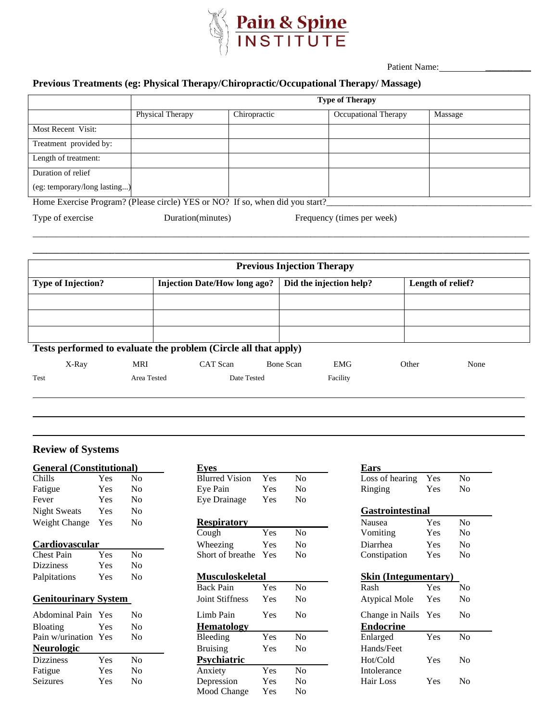

Patient Name:

### **Previous Treatments (eg: Physical Therapy/Chiropractic/Occupational Therapy/ Massage)**

|                              |                         |                                                                                | <b>Type of Therapy</b>      |         |
|------------------------------|-------------------------|--------------------------------------------------------------------------------|-----------------------------|---------|
|                              | <b>Physical Therapy</b> | Chiropractic                                                                   | <b>Occupational Therapy</b> | Massage |
| Most Recent Visit:           |                         |                                                                                |                             |         |
| Treatment provided by:       |                         |                                                                                |                             |         |
| Length of treatment:         |                         |                                                                                |                             |         |
| Duration of relief           |                         |                                                                                |                             |         |
| (eg: temporary/long lasting) |                         |                                                                                |                             |         |
|                              |                         | Home Evergise Program? (Plasse gircle) VES or $NQ$ ? If so when did you start? |                             |         |

\_\_\_\_\_\_\_\_\_\_\_\_\_\_\_\_\_\_\_\_\_\_\_\_\_\_\_\_\_\_\_\_\_\_\_\_\_\_\_\_\_\_\_\_\_\_\_\_\_\_\_\_\_\_\_\_\_\_\_\_\_\_\_\_\_\_\_\_\_\_\_\_\_\_\_\_\_\_\_\_\_\_\_\_\_\_\_\_\_\_\_\_\_\_\_\_\_\_\_\_\_\_\_\_\_\_\_\_\_ **\_\_\_\_\_\_\_\_\_\_\_\_\_\_\_\_\_\_\_\_\_\_\_\_\_\_\_\_\_\_\_\_\_\_\_\_\_\_\_\_\_\_\_\_\_\_\_\_\_\_\_\_\_\_\_\_\_\_\_\_\_\_\_\_\_\_\_\_\_\_\_\_\_\_\_\_\_\_\_\_\_\_\_\_\_\_\_\_\_\_\_\_\_\_\_\_\_\_\_\_\_\_\_\_\_\_\_\_\_**

Home Exercise Program? (Please circle) YES or NO? If so, when did you start?

Type of exercise Duration(minutes) Frequency (times per week)

|                                                                 |             |                                     | <b>Previous Injection Therapy</b> |                         |       |                   |  |
|-----------------------------------------------------------------|-------------|-------------------------------------|-----------------------------------|-------------------------|-------|-------------------|--|
| <b>Type of Injection?</b>                                       |             | <b>Injection Date/How long ago?</b> |                                   | Did the injection help? |       | Length of relief? |  |
|                                                                 |             |                                     |                                   |                         |       |                   |  |
|                                                                 |             |                                     |                                   |                         |       |                   |  |
|                                                                 |             |                                     |                                   |                         |       |                   |  |
| Tests performed to evaluate the problem (Circle all that apply) |             |                                     |                                   |                         |       |                   |  |
| X-Ray                                                           | MRI         | CAT Scan                            | Bone Scan                         | <b>EMG</b>              | Other | None              |  |
| Test                                                            | Area Tested | Date Tested                         |                                   | Facility                |       |                   |  |

#### **Review of Systems**

| <b>General</b> (Constitutional) |     |                | <b>Eves</b>            |     |    |
|---------------------------------|-----|----------------|------------------------|-----|----|
| Chills                          | Yes | N <sub>0</sub> | <b>Blurred Vision</b>  | Yes | No |
| Fatigue                         | Yes | N <sub>0</sub> | Eve Pain               | Yes | No |
| Fever                           | Yes | No             | Eye Drainage           | Yes | No |
| <b>Night Sweats</b>             | Yes | N <sub>0</sub> |                        |     |    |
| Weight Change                   | Yes | No             | <b>Respiratory</b>     |     |    |
|                                 |     |                | Cough                  | Yes | No |
| Cardiovascular                  |     |                | Wheezing               | Yes | No |
| <b>Chest Pain</b>               | Yes | N <sub>0</sub> | Short of breathe       | Yes | No |
| <b>Dizziness</b>                | Yes | N <sub>0</sub> |                        |     |    |
| Palpitations                    | Yes | No             | <b>Musculoskeletal</b> |     |    |
|                                 |     |                | <b>Back Pain</b>       | Yes | No |
| <b>Genitourinary System</b>     |     |                | <b>Joint Stiffness</b> | Yes | No |
| Abdominal Pain Yes              |     | No             | Limb Pain              | Yes | No |

| <b>Bloating</b>      | Yes | No             |
|----------------------|-----|----------------|
| Pain w/urination Yes |     | N <sub>0</sub> |
| <b>Neurologic</b>    |     |                |
|                      |     |                |
| <b>Dizziness</b>     | Yes | N <sub>0</sub> |
| Fatigue              | Yes | N <sub>0</sub> |
| Seizures             | Yes | N <sub>0</sub> |

| <b>General (Constitutional)</b> |     |                        | Eyes                   |     |                             | <b>Ears</b>             |     |    |
|---------------------------------|-----|------------------------|------------------------|-----|-----------------------------|-------------------------|-----|----|
| Chills                          | Yes | No.                    | <b>Blurred Vision</b>  | Yes | N <sub>0</sub>              | Loss of hearing         | Yes | No |
| Fatigue                         | Yes | No.                    | Eye Pain               | Yes | N <sub>0</sub>              | Ringing                 | Yes | No |
| Fever                           | Yes | N <sub>0</sub>         | Eye Drainage           | Yes | N <sub>0</sub>              |                         |     |    |
| <b>Night Sweats</b>             | Yes | N <sub>0</sub>         |                        |     |                             | <b>Gastrointestinal</b> |     |    |
| Weight Change                   | Yes | No.                    | <b>Respiratory</b>     |     |                             | Nausea                  | Yes | No |
|                                 |     |                        | Cough                  | Yes | No                          | Vomiting                | Yes | No |
| Cardiovascular                  |     |                        | Wheezing               | Yes | N <sub>0</sub>              | Diarrhea                | Yes | No |
| Chest Pain                      | Yes | No                     | Short of breathe       | Yes | N <sub>0</sub>              | Constipation            | Yes | No |
| Dizziness                       | Yes | N <sub>0</sub>         |                        |     |                             |                         |     |    |
| Palpitations<br>Yes<br>No       |     | <b>Musculoskeletal</b> |                        |     | <b>Skin</b> (Integumentary) |                         |     |    |
|                                 |     |                        | <b>Back Pain</b>       | Yes | N <sub>o</sub>              | Rash                    | Yes | No |
| <b>Genitourinary System</b>     |     |                        | <b>Joint Stiffness</b> | Yes | N <sub>0</sub>              | <b>Atypical Mole</b>    | Yes | No |
| Abdominal Pain Yes              |     | No.                    | Limb Pain              | Yes | No                          | Change in Nails Yes     |     | No |
| <b>Bloating</b>                 | Yes | N <sub>o</sub>         | <b>Hematology</b>      |     |                             | <b>Endocrine</b>        |     |    |
| Pain w/urination                | Yes | No                     | Bleeding               | Yes | No                          | Enlarged                | Yes | No |
| <b>Neurologic</b>               |     |                        | <b>Bruising</b>        | Yes | N <sub>0</sub>              | Hands/Feet              |     |    |
| <b>Dizziness</b>                | Yes | N <sub>0</sub>         | <b>Psychiatric</b>     |     |                             | Hot/Cold                | Yes | No |
| Fatigue                         | Yes | N <sub>o</sub>         | Anxiety                | Yes | N <sub>o</sub>              | Intolerance             |     |    |
| Seizures                        | Yes | No                     | Depression             | Yes | No                          | Hair Loss               | Yes | No |

Mood Change Yes No

| Ears                        |            |                |  |  |  |  |  |  |
|-----------------------------|------------|----------------|--|--|--|--|--|--|
| Loss of hearing             | Yes        | Nο             |  |  |  |  |  |  |
| Ringing                     | Yes        | No             |  |  |  |  |  |  |
|                             |            |                |  |  |  |  |  |  |
| Gastrointestinal            |            |                |  |  |  |  |  |  |
| Nausea                      | Yes        | No             |  |  |  |  |  |  |
| Vomiting                    | Yes        | Nο             |  |  |  |  |  |  |
| Diarrhea                    | <b>Yes</b> | Nο             |  |  |  |  |  |  |
| Constipation                | Yes        | No             |  |  |  |  |  |  |
|                             |            |                |  |  |  |  |  |  |
| <b>Skin (Integumentary)</b> |            |                |  |  |  |  |  |  |
| Rash                        | Yes        | N <sub>0</sub> |  |  |  |  |  |  |
| <b>Atypical Mole</b>        | Yes        | Nο             |  |  |  |  |  |  |
| Change in Nails             | Yes        | Nο             |  |  |  |  |  |  |
| <b>Endocrine</b>            |            |                |  |  |  |  |  |  |
| Enlarged                    | Yes        | $\rm No$       |  |  |  |  |  |  |
| Hands/Feet                  |            |                |  |  |  |  |  |  |
| Hot/Cold                    | Yes        | Nο             |  |  |  |  |  |  |
| Intolerance                 |            |                |  |  |  |  |  |  |
| Hair Loss                   | Yes        | Nο             |  |  |  |  |  |  |
|                             |            |                |  |  |  |  |  |  |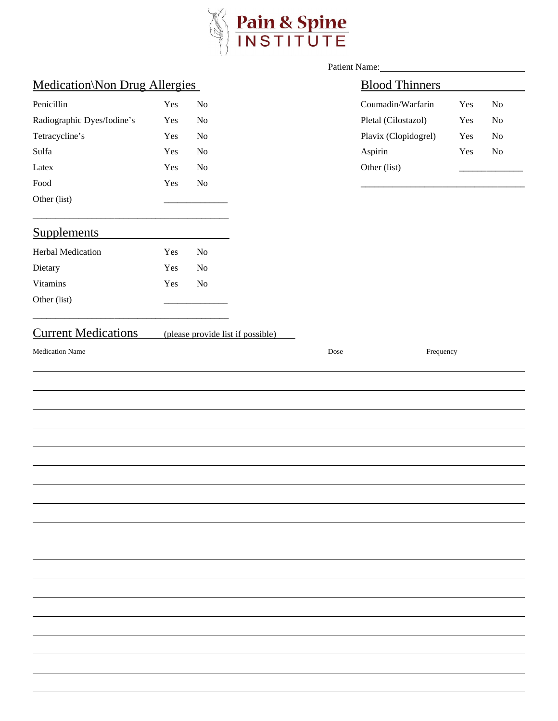

|                                      |     |                | Patient Name:                     |      |                       |     |                |  |
|--------------------------------------|-----|----------------|-----------------------------------|------|-----------------------|-----|----------------|--|
| <b>Medication\Non Drug Allergies</b> |     |                |                                   |      | <b>Blood Thinners</b> |     |                |  |
| Penicillin                           | Yes | No             |                                   |      | Coumadin/Warfarin     | Yes | N <sub>o</sub> |  |
| Radiographic Dyes/Iodine's           | Yes | $\rm No$       |                                   |      | Pletal (Cilostazol)   | Yes | $\rm No$       |  |
| Tetracycline's                       | Yes | N <sub>o</sub> |                                   |      | Plavix (Clopidogrel)  | Yes | N <sub>o</sub> |  |
| Sulfa                                | Yes | N <sub>o</sub> |                                   |      | Aspirin               | Yes | $\rm No$       |  |
| Latex                                | Yes | N <sub>o</sub> |                                   |      | Other (list)          |     |                |  |
| $\operatorname*{Food}$               | Yes | $\rm No$       |                                   |      |                       |     |                |  |
| Other (list)                         |     |                |                                   |      |                       |     |                |  |
| <b>Supplements</b>                   |     |                |                                   |      |                       |     |                |  |
| Herbal Medication                    | Yes | N <sub>0</sub> |                                   |      |                       |     |                |  |
| Dietary                              | Yes | N <sub>0</sub> |                                   |      |                       |     |                |  |
| Vitamins                             | Yes | N <sub>o</sub> |                                   |      |                       |     |                |  |
| Other (list)                         |     |                |                                   |      |                       |     |                |  |
| <b>Current Medications</b>           |     |                | (please provide list if possible) |      |                       |     |                |  |
| <b>Medication Name</b>               |     |                |                                   | Dose | Frequency             |     |                |  |
|                                      |     |                |                                   |      |                       |     |                |  |
|                                      |     |                |                                   |      |                       |     |                |  |
|                                      |     |                |                                   |      |                       |     |                |  |
|                                      |     |                |                                   |      |                       |     |                |  |
|                                      |     |                |                                   |      |                       |     |                |  |
|                                      |     |                |                                   |      |                       |     |                |  |
|                                      |     |                |                                   |      |                       |     |                |  |
|                                      |     |                |                                   |      |                       |     |                |  |
|                                      |     |                |                                   |      |                       |     |                |  |
|                                      |     |                |                                   |      |                       |     |                |  |
|                                      |     |                |                                   |      |                       |     |                |  |
|                                      |     |                |                                   |      |                       |     |                |  |
|                                      |     |                |                                   |      |                       |     |                |  |
|                                      |     |                |                                   |      |                       |     |                |  |
|                                      |     |                |                                   |      |                       |     |                |  |
|                                      |     |                |                                   |      |                       |     |                |  |
|                                      |     |                |                                   |      |                       |     |                |  |
|                                      |     |                |                                   |      |                       |     |                |  |
|                                      |     |                |                                   |      |                       |     |                |  |
|                                      |     |                |                                   |      |                       |     |                |  |